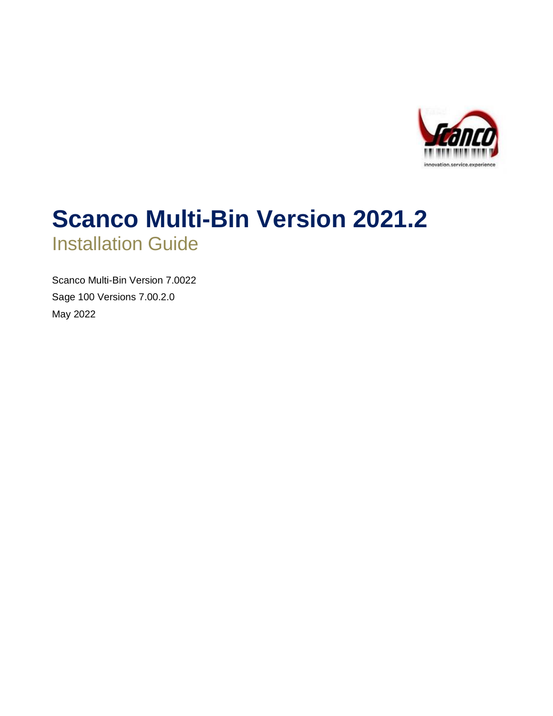

# **Scanco Multi-Bin Version 2021.2** Installation Guide

Scanco Multi-Bin Version 7.0022 Sage 100 Versions 7.00.2.0 May 2022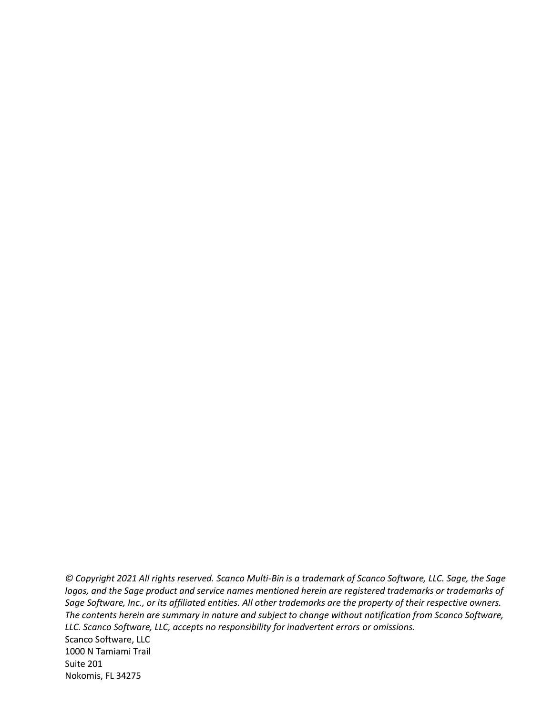*© Copyright 2021 All rights reserved. Scanco Multi-Bin is a trademark of Scanco Software, LLC. Sage, the Sage logos, and the Sage product and service names mentioned herein are registered trademarks or trademarks of Sage Software, Inc., or its affiliated entities. All other trademarks are the property of their respective owners. The contents herein are summary in nature and subject to change without notification from Scanco Software, LLC. Scanco Software, LLC, accepts no responsibility for inadvertent errors or omissions.* Scanco Software, LLC

1000 N Tamiami Trail Suite 201 Nokomis, FL 34275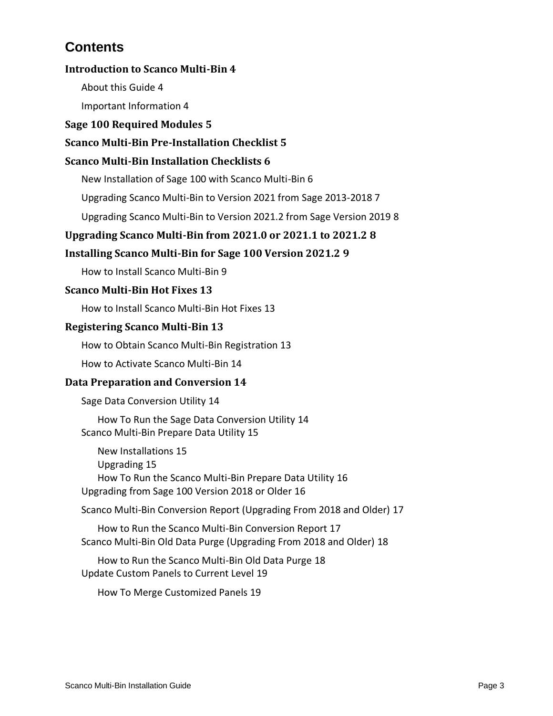# **Contents**

### **[Introduction to Scanco Multi-Bin](#page-3-0) 4**

[About this Guide](#page-3-1) 4

[Important Information](#page-3-2) 4

#### **[Sage 100 Required Modules](#page-4-0) 5**

### **[Scanco Multi-Bin Pre-Installation Checklist](#page-4-1) 5**

#### **[Scanco Multi-Bin Installation Checklists](#page-5-0) 6**

[New Installation of Sage 100 with Scanco Multi-Bin](#page-5-1) 6

[Upgrading Scanco Multi-Bin to Version 2021 from Sage 2013-2018](#page-6-0) 7

[Upgrading Scanco Multi-Bin to Version 2021.2 from Sage Version 2019](#page-7-0) 8

### **[Upgrading Scanco Multi-Bin from 2021.0 or 2021.1 to 2021.2](#page-7-1) 8**

### **[Installing Scanco Multi-Bin for Sage 100 Version 2021.2](#page-8-0) 9**

[How to Install Scanco Multi-Bin](#page-8-1) 9

#### **[Scanco Multi-Bin Hot Fixes](#page-12-0) 13**

[How to Install Scanco Multi-Bin Hot Fixes](#page-12-1) 13

#### **[Registering Scanco Multi-Bin](#page-12-2) 13**

[How to Obtain Scanco Multi-Bin Registration](#page-12-3) 13

[How to Activate Scanco Multi-Bin](#page-13-0) 14

#### **[Data Preparation and Conversion](#page-13-1) 14**

[Sage Data Conversion Utility](#page-13-2) 14

[How To Run the Sage Data Conversion Utility](#page-13-3) 14 [Scanco Multi-Bin Prepare Data Utility](#page-14-0) 15

[New Installations](#page-14-1) 15 [Upgrading](#page-14-2) 15 [How To Run the Scanco Multi-Bin Prepare Data Utility](#page-15-0) 16 [Upgrading from Sage 100 Version 2018 or Older](#page-15-1) 16

[Scanco Multi-Bin Conversion Report \(Upgrading From 2018 and Older\)](#page-16-0) 17

[How to Run the Scanco Multi-Bin Conversion Report](#page-16-1) 17 [Scanco Multi-Bin Old Data Purge \(Upgrading From 2018 and Older\)](#page-17-0) 18

[How to Run the Scanco Multi-Bin Old Data Purge](#page-17-1) 18 [Update Custom Panels to Current Level](#page-18-0) 19

[How To Merge Customized Panels](#page-18-1) 19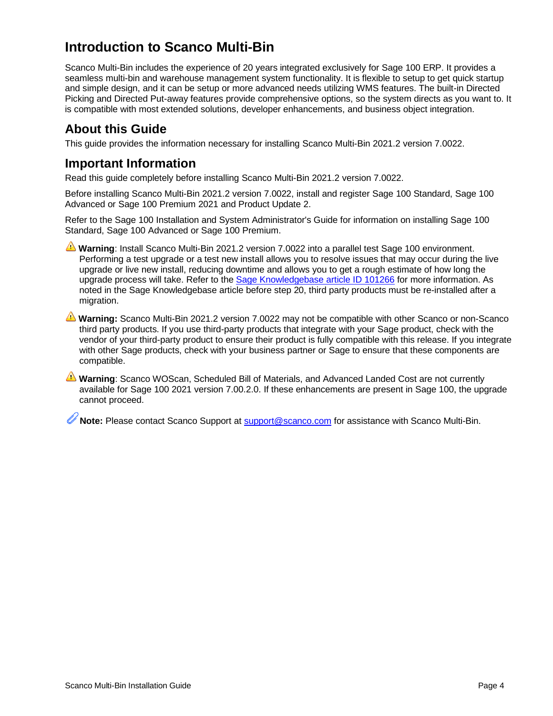# <span id="page-3-0"></span>**Introduction to Scanco Multi-Bin**

Scanco Multi-Bin includes the experience of 20 years integrated exclusively for Sage 100 ERP. It provides a seamless multi-bin and warehouse management system functionality. It is flexible to setup to get quick startup and simple design, and it can be setup or more advanced needs utilizing WMS features. The built-in Directed Picking and Directed Put-away features provide comprehensive options, so the system directs as you want to. It is compatible with most extended solutions, developer enhancements, and business object integration.

## <span id="page-3-1"></span>**About this Guide**

This guide provides the information necessary for installing Scanco Multi-Bin 2021.2 version 7.0022.

### <span id="page-3-2"></span>**Important Information**

Read this guide completely before installing Scanco Multi-Bin 2021.2 version 7.0022.

Before installing Scanco Multi-Bin 2021.2 version 7.0022, install and register Sage 100 Standard, Sage 100 Advanced or Sage 100 Premium 2021 and Product Update 2.

Refer to the Sage 100 Installation and System Administrator's Guide for information on installing Sage 100 Standard, Sage 100 Advanced or Sage 100 Premium.

**Warning**: Install Scanco Multi-Bin 2021.2 version 7.0022 into a parallel test Sage 100 environment. Performing a test upgrade or a test new install allows you to resolve issues that may occur during the live upgrade or live new install, reducing downtime and allows you to get a rough estimate of how long the upgrade process will take. Refer to the [Sage Knowledgebase article ID 101266](https://support.na.sage.com/selfservice/viewdocument.do?noCount=true&externalId=101266&sliceId=1&noCount=true&isLoadPublishedVer=&docType=kc&docTypeID=DT_Article&stateId=4535&cmd=displayKC&dialogID=184412&ViewedDocsListHelper=com.kanisa.apps.common.BaseViewedDocsListHelperImpl&openedFromSearchResults=true) for more information. As noted in the Sage Knowledgebase article before step 20, third party products must be re-installed after a migration.

**Warning:** Scanco Multi-Bin 2021.2 version 7.0022 may not be compatible with other Scanco or non-Scanco third party products. If you use third-party products that integrate with your Sage product, check with the vendor of your third-party product to ensure their product is fully compatible with this release. If you integrate with other Sage products, check with your business partner or Sage to ensure that these components are compatible.

**Warning**: Scanco WOScan, Scheduled Bill of Materials, and Advanced Landed Cost are not currently available for Sage 100 2021 version 7.00.2.0. If these enhancements are present in Sage 100, the upgrade cannot proceed.

**Note:** Please contact Scanco Support at [support@scanco.com](mailto:support@scanco.com) for assistance with Scanco Multi-Bin.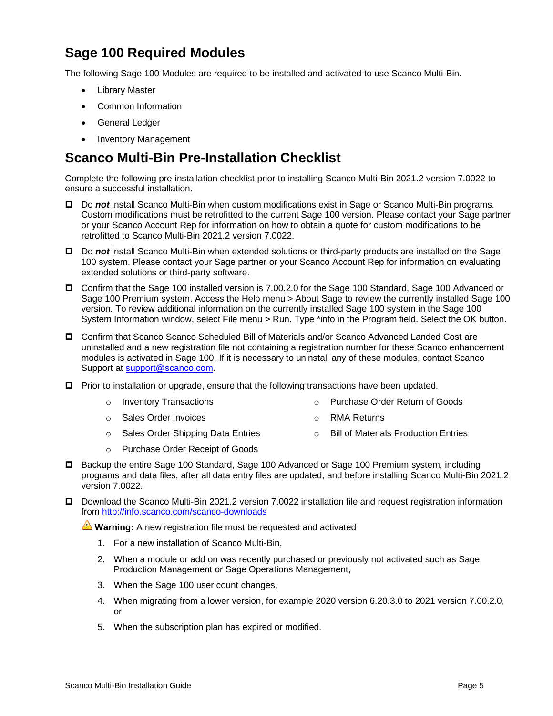# <span id="page-4-0"></span>**Sage 100 Required Modules**

The following Sage 100 Modules are required to be installed and activated to use Scanco Multi-Bin.

- **Library Master**
- Common Information
- General Ledger
- Inventory Management

# <span id="page-4-1"></span>**Scanco Multi-Bin Pre-Installation Checklist**

Complete the following pre-installation checklist prior to installing Scanco Multi-Bin 2021.2 version 7.0022 to ensure a successful installation.

- Do *not* install Scanco Multi-Bin when custom modifications exist in Sage or Scanco Multi-Bin programs. Custom modifications must be retrofitted to the current Sage 100 version. Please contact your Sage partner or your Scanco Account Rep for information on how to obtain a quote for custom modifications to be retrofitted to Scanco Multi-Bin 2021.2 version 7.0022.
- Do *not* install Scanco Multi-Bin when extended solutions or third-party products are installed on the Sage 100 system. Please contact your Sage partner or your Scanco Account Rep for information on evaluating extended solutions or third-party software.
- Confirm that the Sage 100 installed version is 7.00.2.0 for the Sage 100 Standard, Sage 100 Advanced or Sage 100 Premium system. Access the Help menu > About Sage to review the currently installed Sage 100 version. To review additional information on the currently installed Sage 100 system in the Sage 100 System Information window, select File menu > Run. Type \*info in the Program field. Select the OK button.
- Confirm that Scanco Scanco Scheduled Bill of Materials and/or Scanco Advanced Landed Cost are uninstalled and a new registration file not containing a registration number for these Scanco enhancement modules is activated in Sage 100. If it is necessary to uninstall any of these modules, contact Scanco Support at [support@scanco.com.](mailto:support@scanco.com)
- $\Box$  Prior to installation or upgrade, ensure that the following transactions have been updated.
	- o Inventory Transactions o Purchase Order Return of Goods
	- o Sales Order Invoices o RMA Returns
	- o Sales Order Shipping Data Entries o Bill of Materials Production Entries
	- o Purchase Order Receipt of Goods
- □ Backup the entire Sage 100 Standard, Sage 100 Advanced or Sage 100 Premium system, including programs and data files, after all data entry files are updated, and before installing Scanco Multi-Bin 2021.2 version 7.0022.
- Download the Scanco Multi-Bin 2021.2 version 7.0022 installation file and request registration information from<http://info.scanco.com/scanco-downloads>

**Warning:** A new registration file must be requested and activated

- 1. For a new installation of Scanco Multi-Bin,
- 2. When a module or add on was recently purchased or previously not activated such as Sage Production Management or Sage Operations Management,
- 3. When the Sage 100 user count changes,
- 4. When migrating from a lower version, for example 2020 version 6.20.3.0 to 2021 version 7.00.2.0, or
- 5. When the subscription plan has expired or modified.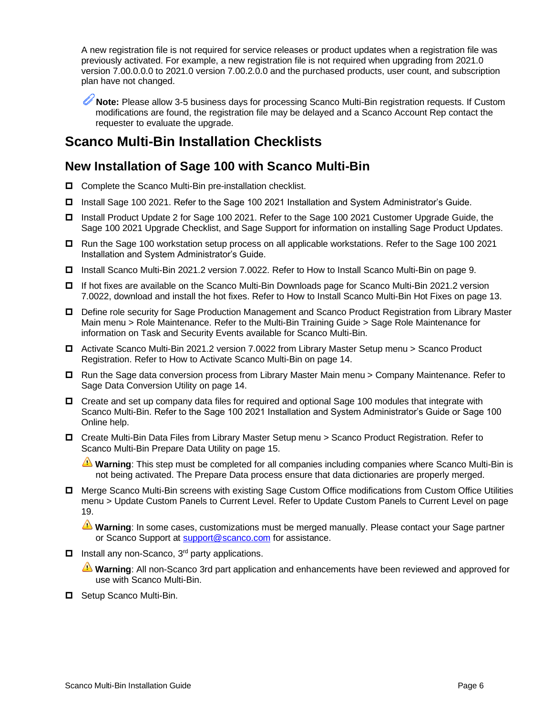A new registration file is not required for service releases or product updates when a registration file was previously activated. For example, a new registration file is not required when upgrading from 2021.0 version 7.00.0.0.0 to 2021.0 version 7.00.2.0.0 and the purchased products, user count, and subscription plan have not changed.

**Note:** Please allow 3-5 business days for processing Scanco Multi-Bin registration requests. If Custom modifications are found, the registration file may be delayed and a Scanco Account Rep contact the requester to evaluate the upgrade.

# <span id="page-5-0"></span>**Scanco Multi-Bin Installation Checklists**

### <span id="page-5-1"></span>**New Installation of Sage 100 with Scanco Multi-Bin**

- $\Box$  Complete the Scanco Multi-Bin pre-installation checklist.
- □ Install Sage 100 2021. Refer to the Sage 100 2021 Installation and System Administrator's Guide.
- Install Product Update 2 for Sage 100 2021. Refer to the Sage 100 2021 Customer Upgrade Guide, the Sage 100 2021 Upgrade Checklist, and Sage Support for information on installing Sage Product Updates.
- □ Run the Sage 100 workstation setup process on all applicable workstations. Refer to the Sage 100 2021 Installation and System Administrator's Guide.
- Install Scanco Multi-Bin 2021.2 version 7.0022. Refer to [How to Install Scanco Multi-Bin](#page-8-1) on page [9.](#page-8-1)
- If hot fixes are available on the Scanco Multi-Bin Downloads page for Scanco Multi-Bin 2021.2 version 7.0022, download and install the hot fixes. Refer to [How to Install Scanco Multi-Bin Hot Fixes](#page-12-1) on page [13.](#page-12-1)
- Define role security for Sage Production Management and Scanco Product Registration from Library Master Main menu > Role Maintenance. Refer to the Multi-Bin Training Guide > Sage Role Maintenance for information on Task and Security Events available for Scanco Multi-Bin.
- Activate Scanco Multi-Bin 2021.2 version 7.0022 from Library Master Setup menu > Scanco Product Registration. Refer to [How to Activate Scanco Multi-Bin](#page-13-0) on page [14.](#page-13-0)
- □ Run the Sage data conversion process from Library Master Main menu > Company Maintenance. Refer to [Sage Data Conversion Utility](#page-13-2) on page [14.](#page-13-2)
- $\Box$  Create and set up company data files for required and optional Sage 100 modules that integrate with Scanco Multi-Bin. Refer to the Sage 100 2021 Installation and System Administrator's Guide or Sage 100 Online help.
- Create Multi-Bin Data Files from Library Master Setup menu > Scanco Product Registration. Refer to [Scanco Multi-Bin Prepare Data Utility](#page-14-0) on page [15.](#page-14-0)

**Warning**: This step must be completed for all companies including companies where Scanco Multi-Bin is not being activated. The Prepare Data process ensure that data dictionaries are properly merged.

 Merge Scanco Multi-Bin screens with existing Sage Custom Office modifications from Custom Office Utilities menu > Update Custom Panels to Current Level. Refer to [Update Custom Panels to Current Level](#page-18-0) on page [19.](#page-18-0)

**Warning**: In some cases, customizations must be merged manually. Please contact your Sage partner or Scanco Support at [support@scanco.com](mailto:support@scanco.com) for assistance.

 $\Box$  Install any non-Scanco, 3<sup>rd</sup> party applications.

**Warning**: All non-Scanco 3rd part application and enhancements have been reviewed and approved for use with Scanco Multi-Bin.

Setup Scanco Multi-Bin.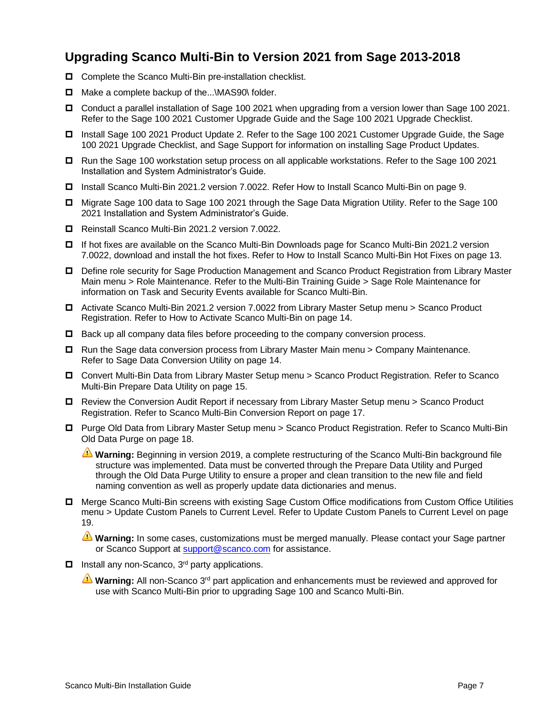### <span id="page-6-0"></span>**Upgrading Scanco Multi-Bin to Version 2021 from Sage 2013-2018**

- □ Complete the Scanco Multi-Bin pre-installation checklist.
- $\Box$  Make a complete backup of the... $\text{MAS90}\setminus\text{folder.}$
- Conduct a parallel installation of Sage 100 2021 when upgrading from a version lower than Sage 100 2021. Refer to the Sage 100 2021 Customer Upgrade Guide and the Sage 100 2021 Upgrade Checklist.
- Install Sage 100 2021 Product Update 2. Refer to the Sage 100 2021 Customer Upgrade Guide, the Sage 100 2021 Upgrade Checklist, and Sage Support for information on installing Sage Product Updates.
- □ Run the Sage 100 workstation setup process on all applicable workstations. Refer to the Sage 100 2021 Installation and System Administrator's Guide.
- Install Scanco Multi-Bin 2021.2 version 7.0022. Refe[r How to Install Scanco Multi-Bin](#page-8-1) on page [9.](#page-8-1)
- Migrate Sage 100 data to Sage 100 2021 through the Sage Data Migration Utility. Refer to the Sage 100 2021 Installation and System Administrator's Guide.
- Reinstall Scanco Multi-Bin 2021.2 version 7.0022.
- If hot fixes are available on the Scanco Multi-Bin Downloads page for Scanco Multi-Bin 2021.2 version 7.0022, download and install the hot fixes. Refer to [How to Install Scanco Multi-Bin Hot Fixes](#page-12-1) on page [13.](#page-12-1)
- Define role security for Sage Production Management and Scanco Product Registration from Library Master Main menu > Role Maintenance. Refer to the Multi-Bin Training Guide > Sage Role Maintenance for information on Task and Security Events available for Scanco Multi-Bin.
- Activate Scanco Multi-Bin 2021.2 version 7.0022 from Library Master Setup menu > Scanco Product Registration. Refer to [How to Activate Scanco Multi-Bin](#page-13-0) on page [14.](#page-13-0)
- $\Box$  Back up all company data files before proceeding to the company conversion process.
- $\Box$  Run the Sage data conversion process from Library Master Main menu > Company Maintenance. Refer to [Sage Data Conversion Utility](#page-13-2) on page [14.](#page-13-2)
- Convert Multi-Bin Data from Library Master Setup menu > Scanco Product Registration. Refer to [Scanco](#page-14-0)  [Multi-Bin Prepare Data Utility](#page-14-0) on page [15.](#page-14-0)
- Review the Conversion Audit Report if necessary from Library Master Setup menu > Scanco Product Registration. Refer to [Scanco Multi-Bin Conversion Report](#page-16-0) on page [17.](#page-16-0)
- Purge Old Data from Library Master Setup menu > Scanco Product Registration. Refer to [Scanco Multi-Bin](#page-17-0)  [Old Data Purge](#page-17-0) on pag[e 18.](#page-17-0)

**Warning:** Beginning in version 2019, a complete restructuring of the Scanco Multi-Bin background file structure was implemented. Data must be converted through the Prepare Data Utility and Purged through the Old Data Purge Utility to ensure a proper and clean transition to the new file and field naming convention as well as properly update data dictionaries and menus.

□ Merge Scanco Multi-Bin screens with existing Sage Custom Office modifications from Custom Office Utilities menu > Update Custom Panels to Current Level. Refer to [Update Custom Panels to Current Level](#page-18-0) on page [19.](#page-18-0)

**Warning:** In some cases, customizations must be merged manually. Please contact your Sage partner or Scanco Support at [support@scanco.com](mailto:support@scanco.com) for assistance.

- $\Box$  Install any non-Scanco, 3<sup>rd</sup> party applications.
	- **Warning:** All non-Scanco 3<sup>rd</sup> part application and enhancements must be reviewed and approved for use with Scanco Multi-Bin prior to upgrading Sage 100 and Scanco Multi-Bin.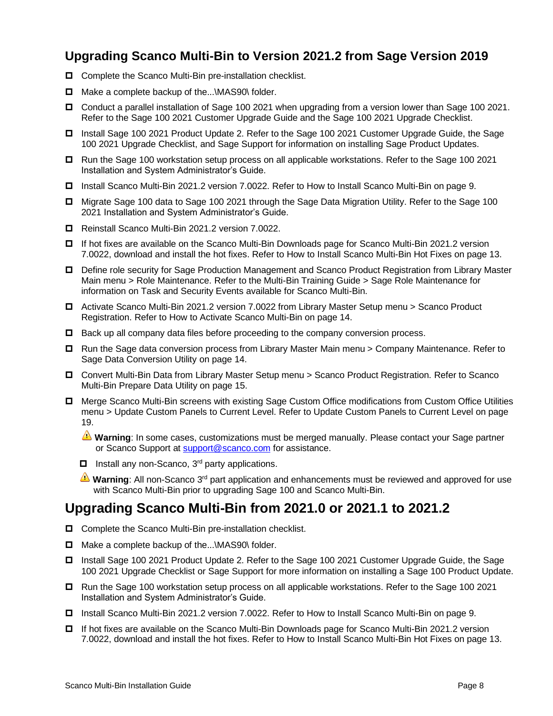## <span id="page-7-0"></span>**Upgrading Scanco Multi-Bin to Version 2021.2 from Sage Version 2019**

- □ Complete the Scanco Multi-Bin pre-installation checklist.
- □ Make a complete backup of the...\MAS90\ folder.
- Conduct a parallel installation of Sage 100 2021 when upgrading from a version lower than Sage 100 2021. Refer to the Sage 100 2021 Customer Upgrade Guide and the Sage 100 2021 Upgrade Checklist.
- □ Install Sage 100 2021 Product Update 2. Refer to the Sage 100 2021 Customer Upgrade Guide, the Sage 100 2021 Upgrade Checklist, and Sage Support for information on installing Sage Product Updates.
- □ Run the Sage 100 workstation setup process on all applicable workstations. Refer to the Sage 100 2021 Installation and System Administrator's Guide.
- Install Scanco Multi-Bin 2021.2 version 7.0022. Refer to [How to Install Scanco Multi-Bin](#page-8-1) on page [9.](#page-8-1)
- Migrate Sage 100 data to Sage 100 2021 through the Sage Data Migration Utility. Refer to the Sage 100 2021 Installation and System Administrator's Guide.
- Reinstall Scanco Multi-Bin 2021.2 version 7.0022.
- □ If hot fixes are available on the Scanco Multi-Bin Downloads page for Scanco Multi-Bin 2021.2 version 7.0022, download and install the hot fixes. Refer to [How to Install Scanco Multi-Bin Hot Fixes](#page-12-1) on page [13.](#page-12-1)
- Define role security for Sage Production Management and Scanco Product Registration from Library Master Main menu > Role Maintenance. Refer to the Multi-Bin Training Guide > Sage Role Maintenance for information on Task and Security Events available for Scanco Multi-Bin.
- Activate Scanco Multi-Bin 2021.2 version 7.0022 from Library Master Setup menu > Scanco Product Registration. Refer to [How to Activate Scanco Multi-Bin](#page-13-0) on page [14.](#page-13-0)
- $\Box$  Back up all company data files before proceeding to the company conversion process.
- □ Run the Sage data conversion process from Library Master Main menu > Company Maintenance. Refer to [Sage Data Conversion Utility](#page-13-2) on page [14.](#page-13-2)
- Convert Multi-Bin Data from Library Master Setup menu > Scanco Product Registration. Refer to [Scanco](#page-14-0)  [Multi-Bin Prepare Data Utility](#page-14-0) on page [15.](#page-14-0)
- Merge Scanco Multi-Bin screens with existing Sage Custom Office modifications from Custom Office Utilities menu > Update Custom Panels to Current Level. Refer to [Update Custom Panels to Current Level](#page-18-0) on page [19.](#page-18-0)

**Warning**: In some cases, customizations must be merged manually. Please contact your Sage partner or Scanco Support at **support@scanco.com** for assistance.

- $\Box$  Install any non-Scanco, 3<sup>rd</sup> party applications.
- **Warning**: All non-Scanco 3<sup>rd</sup> part application and enhancements must be reviewed and approved for use with Scanco Multi-Bin prior to upgrading Sage 100 and Scanco Multi-Bin.

### <span id="page-7-1"></span>**Upgrading Scanco Multi-Bin from 2021.0 or 2021.1 to 2021.2**

- $\Box$  Complete the Scanco Multi-Bin pre-installation checklist.
- □ Make a complete backup of the...\MAS90\ folder.
- Install Sage 100 2021 Product Update 2. Refer to the Sage 100 2021 Customer Upgrade Guide, the Sage 100 2021 Upgrade Checklist or Sage Support for more information on installing a Sage 100 Product Update.
- □ Run the Sage 100 workstation setup process on all applicable workstations. Refer to the Sage 100 2021 Installation and System Administrator's Guide.
- Install Scanco Multi-Bin 2021.2 version 7.0022. Refer to [How to Install Scanco Multi-Bin](#page-8-1) on page [9.](#page-8-1)
- If hot fixes are available on the Scanco Multi-Bin Downloads page for Scanco Multi-Bin 2021.2 version 7.0022, download and install the hot fixes. Refer to [How to Install Scanco Multi-Bin Hot Fixes](#page-12-1) on page [13.](#page-12-1)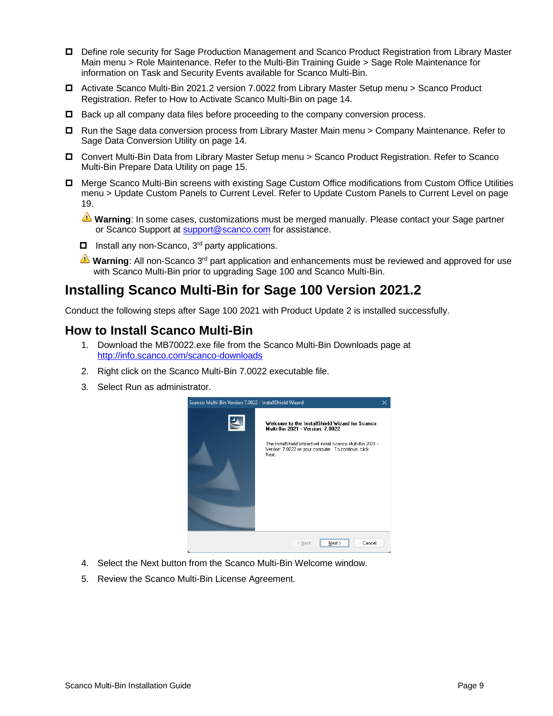- Define role security for Sage Production Management and Scanco Product Registration from Library Master Main menu > Role Maintenance. Refer to the Multi-Bin Training Guide > Sage Role Maintenance for information on Task and Security Events available for Scanco Multi-Bin.
- Activate Scanco Multi-Bin 2021.2 version 7.0022 from Library Master Setup menu > Scanco Product Registration. Refer to [How to Activate Scanco Multi-Bin](#page-13-0) on page [14.](#page-13-0)
- $\Box$  Back up all company data files before proceeding to the company conversion process.
- □ Run the Sage data conversion process from Library Master Main menu > Company Maintenance. Refer to [Sage Data Conversion Utility](#page-13-2) on page [14.](#page-13-2)
- Convert Multi-Bin Data from Library Master Setup menu > Scanco Product Registration. Refer to [Scanco](#page-14-0)  [Multi-Bin Prepare Data Utility](#page-14-0) on page [15.](#page-14-0)
- Merge Scanco Multi-Bin screens with existing Sage Custom Office modifications from Custom Office Utilities menu > Update Custom Panels to Current Level. Refer to [Update Custom Panels to Current Level](#page-18-0) on page [19.](#page-18-0)
	- **Warning**: In some cases, customizations must be merged manually. Please contact your Sage partner or Scanco Support at [support@scanco.com](mailto:support@scanco.com) for assistance.
	- $\Box$  Install any non-Scanco, 3<sup>rd</sup> party applications.
	- **Warning**: All non-Scanco 3<sup>rd</sup> part application and enhancements must be reviewed and approved for use with Scanco Multi-Bin prior to upgrading Sage 100 and Scanco Multi-Bin.

# <span id="page-8-0"></span>**Installing Scanco Multi-Bin for Sage 100 Version 2021.2**

Conduct the following steps after Sage 100 2021 with Product Update 2 is installed successfully.

### <span id="page-8-1"></span>**How to Install Scanco Multi-Bin**

- 1. Download the MB70022.exe file from the Scanco Multi-Bin Downloads page at <http://info.scanco.com/scanco-downloads>
- 2. Right click on the Scanco Multi-Bin 7.0022 executable file.
- 3. Select Run as administrator.



- 4. Select the Next button from the Scanco Multi-Bin Welcome window.
- 5. Review the Scanco Multi-Bin License Agreement.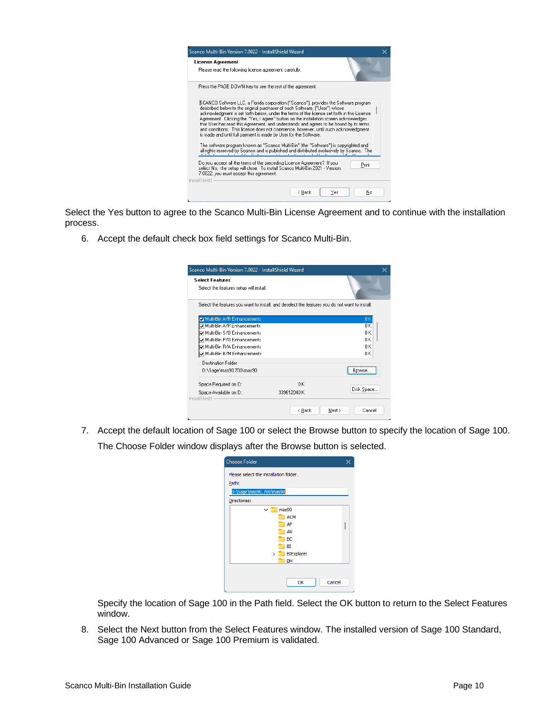

Select the Yes button to agree to the Scanco Multi-Bin License Agreement and to continue with the installation process.

6. Accept the default check box field settings for Scanco Multi-Bin.

| Select the features you want to install, and deselect the features you do not want to install. |            |
|------------------------------------------------------------------------------------------------|------------|
|                                                                                                |            |
|                                                                                                |            |
|                                                                                                | OΚ         |
|                                                                                                | n K        |
|                                                                                                | n K        |
|                                                                                                | n K        |
|                                                                                                | nκ         |
|                                                                                                | OΚ         |
|                                                                                                |            |
|                                                                                                | Hrnwse.    |
| 0K                                                                                             |            |
|                                                                                                | Disk Space |
|                                                                                                | 339612040K |

7. Accept the default location of Sage 100 or select the Browse button to specify the location of Sage 100. The Choose Folder window displays after the Browse button is selected.

| <b>Choose Folder</b>                   |  |
|----------------------------------------|--|
| Please select the installation folder. |  |
| Path:                                  |  |
| D:\Sage\mas90.700\mas90                |  |
| Directories:                           |  |
| mas90<br>$\check{ }$                   |  |
| <b>ACM</b>                             |  |
| AP                                     |  |
| <b>AR</b>                              |  |
| ВC<br>BI                               |  |
| <b>BIExplorer</b><br>$\mathcal{P}$     |  |
| <b>BM</b>                              |  |
|                                        |  |
|                                        |  |
| Cancel<br>OK                           |  |

Specify the location of Sage 100 in the Path field. Select the OK button to return to the Select Features window.

8. Select the Next button from the Select Features window. The installed version of Sage 100 Standard, Sage 100 Advanced or Sage 100 Premium is validated.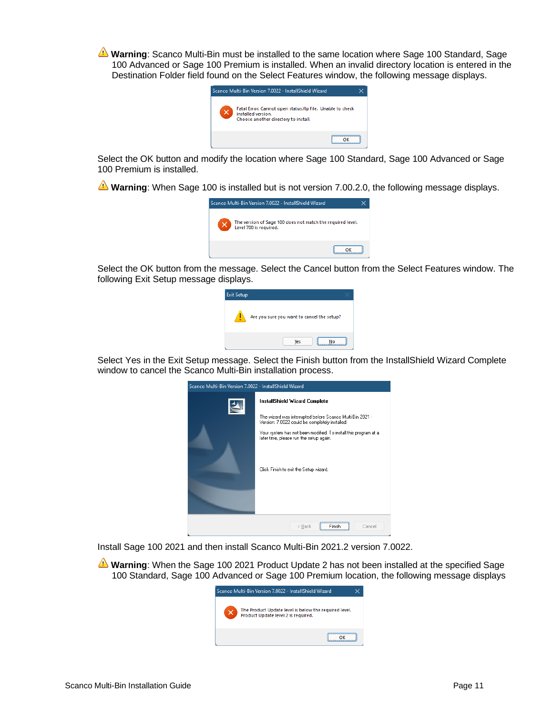**Warning**: Scanco Multi-Bin must be installed to the same location where Sage 100 Standard, Sage 100 Advanced or Sage 100 Premium is installed. When an invalid directory location is entered in the Destination Folder field found on the Select Features window, the following message displays.



Select the OK button and modify the location where Sage 100 Standard, Sage 100 Advanced or Sage 100 Premium is installed.

**Warning**: When Sage 100 is installed but is not version 7.00.2.0, the following message displays.



Select the OK button from the message. Select the Cancel button from the Select Features window. The following Exit Setup message displays.

| <b>Exit Setup</b> |                                            |
|-------------------|--------------------------------------------|
|                   | Are you sure you want to cancel the setup? |
|                   | <b>Yes</b>                                 |

Select Yes in the Exit Setup message. Select the Finish button from the InstallShield Wizard Complete window to cancel the Scanco Multi-Bin installation process.

| Scanco Multi-Bin Version 7.0022 - InstallShield Wizard |                                                                                                                                                                                                                                                                                                      |  |  |  |  |
|--------------------------------------------------------|------------------------------------------------------------------------------------------------------------------------------------------------------------------------------------------------------------------------------------------------------------------------------------------------------|--|--|--|--|
|                                                        | InstallShield Wizard Complete<br>The wizard was interrupted before Scanco Multi-Bin 2021 -<br>Version: 7.0022 could be completely installed.<br>Your system has not been modified. To install this program at a<br>later time, please run the setup again.<br>Click Finish to exit the Setup wizard. |  |  |  |  |
|                                                        | ------------------------<br>< Back<br>Cancel                                                                                                                                                                                                                                                         |  |  |  |  |

Install Sage 100 2021 and then install Scanco Multi-Bin 2021.2 version 7.0022.

**Warning**: When the Sage 100 2021 Product Update 2 has not been installed at the specified Sage 100 Standard, Sage 100 Advanced or Sage 100 Premium location, the following message displays

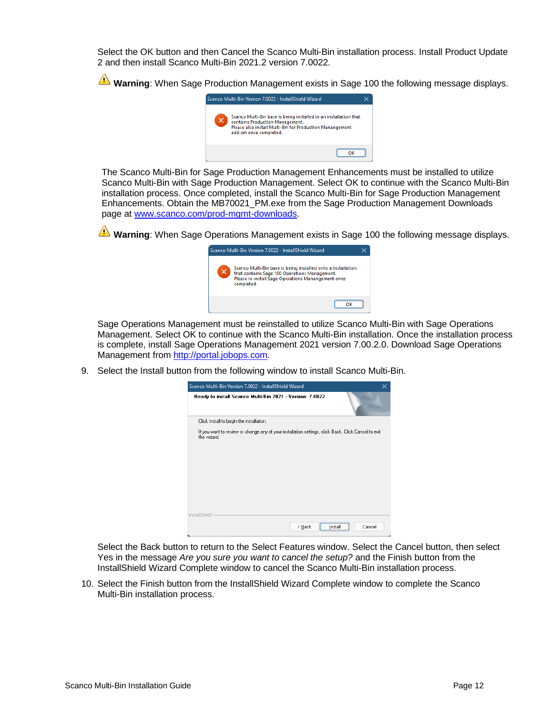Select the OK button and then Cancel the Scanco Multi-Bin installation process. Install Product Update 2 and then install Scanco Multi-Bin 2021.2 version 7.0022.

**Warning**: When Sage Production Management exists in Sage 100 the following message displays.



The Scanco Multi-Bin for Sage Production Management Enhancements must be installed to utilize Scanco Multi-Bin with Sage Production Management. Select OK to continue with the Scanco Multi-Bin installation process. Once completed, install the Scanco Multi-Bin for Sage Production Management Enhancements. Obtain the MB70021\_PM.exe from the Sage Production Management Downloads page at [www.scanco.com/prod-mgmt-downloads.](http://www.scanco.com/prod-mgmt-downloads)

**Warning**: When Sage Operations Management exists in Sage 100 the following message displays.



Sage Operations Management must be reinstalled to utilize Scanco Multi-Bin with Sage Operations Management. Select OK to continue with the Scanco Multi-Bin installation. Once the installation process is complete, install Sage Operations Management 2021 version 7.00.2.0. Download Sage Operations Management from [http://portal.jobops.com.](http://portal.jobops.com/)

9. Select the Install button from the following window to install Scanco Multi-Bin.

| Scanco Multi-Bin Version 7.0022 - InstallShield Wizard                                                             | ×      |
|--------------------------------------------------------------------------------------------------------------------|--------|
| Ready to install Scanco Multi-Bin 2021 - Version: 7.0022                                                           |        |
| Click Install to begin the installation.                                                                           |        |
| If you want to review or change any of your installation settings, click Back. Click Cancel to exit<br>the wizard. |        |
|                                                                                                                    |        |
|                                                                                                                    |        |
|                                                                                                                    |        |
|                                                                                                                    |        |
|                                                                                                                    |        |
|                                                                                                                    |        |
| InstallShield<br>$\leq$ $\underline{B}$ ack<br>Install                                                             | Cancel |

Select the Back button to return to the Select Features window. Select the Cancel button, then select Yes in the message *Are you sure you want to cancel the setup?* and the Finish button from the InstallShield Wizard Complete window to cancel the Scanco Multi-Bin installation process.

10. Select the Finish button from the InstallShield Wizard Complete window to complete the Scanco Multi-Bin installation process.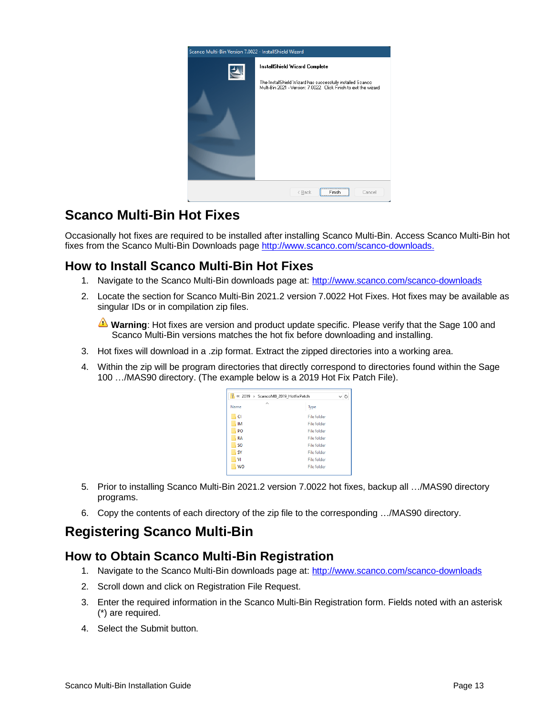

# <span id="page-12-0"></span>**Scanco Multi-Bin Hot Fixes**

Occasionally hot fixes are required to be installed after installing Scanco Multi-Bin. Access Scanco Multi-Bin hot fixes from the Scanco Multi-Bin Downloads page [http://www.scanco.com/scanco-downloads.](http://www.scanco.com/scanco-downloads)

### <span id="page-12-1"></span>**How to Install Scanco Multi-Bin Hot Fixes**

- 1. Navigate to the Scanco Multi-Bin downloads page at: <http://www.scanco.com/scanco-downloads>
- 2. Locate the section for Scanco Multi-Bin 2021.2 version 7.0022 Hot Fixes. Hot fixes may be available as singular IDs or in compilation zip files.

**Warning**: Hot fixes are version and product update specific. Please verify that the Sage 100 and Scanco Multi-Bin versions matches the hot fix before downloading and installing.

- 3. Hot fixes will download in a .zip format. Extract the zipped directories into a working area.
- 4. Within the zip will be program directories that directly correspond to directories found within the Sage 100 …/MAS90 directory. (The example below is a 2019 Hot Fix Patch File).

| y<br>« 2019 > ScancoMB 2019 HotfixPatch<br>しり |                    |  |  |
|-----------------------------------------------|--------------------|--|--|
| $\hat{\phantom{1}}$<br>Name                   | Type               |  |  |
| CI                                            | <b>File folder</b> |  |  |
| <b>IM</b>                                     | <b>File folder</b> |  |  |
| PO                                            | <b>File folder</b> |  |  |
| <b>RA</b>                                     | <b>File folder</b> |  |  |
| <b>SO</b>                                     | File folder        |  |  |
| SY                                            | File folder        |  |  |
| VI                                            | File folder        |  |  |
| <b>WO</b>                                     | File folder        |  |  |

- 5. Prior to installing Scanco Multi-Bin 2021.2 version 7.0022 hot fixes, backup all …/MAS90 directory programs.
- 6. Copy the contents of each directory of the zip file to the corresponding …/MAS90 directory.

# <span id="page-12-2"></span>**Registering Scanco Multi-Bin**

### <span id="page-12-3"></span>**How to Obtain Scanco Multi-Bin Registration**

- 1. Navigate to the Scanco Multi-Bin downloads page at: <http://www.scanco.com/scanco-downloads>
- 2. Scroll down and click on Registration File Request.
- 3. Enter the required information in the Scanco Multi-Bin Registration form. Fields noted with an asterisk (\*) are required.
- 4. Select the Submit button.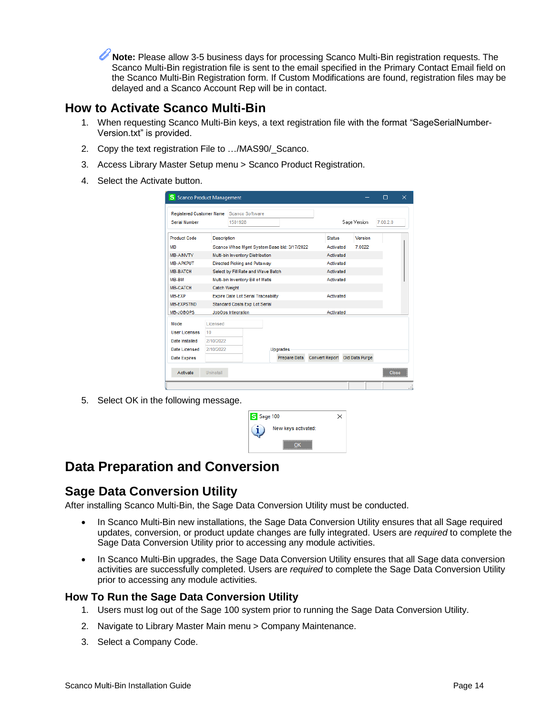**Note:** Please allow 3-5 business days for processing Scanco Multi-Bin registration requests. The Scanco Multi-Bin registration file is sent to the email specified in the Primary Contact Email field on the Scanco Multi-Bin Registration form. If Custom Modifications are found, registration files may be delayed and a Scanco Account Rep will be in contact.

### <span id="page-13-0"></span>**How to Activate Scanco Multi-Bin**

- 1. When requesting Scanco Multi-Bin keys, a text registration file with the format "SageSerialNumber-Version.txt" is provided.
- 2. Copy the text registration File to …/MAS90/\_Scanco.
- 3. Access Library Master Setup menu > Scanco Product Registration.
- 4. Select the Activate button.

| <b>Registered Customer Name</b> |                     | Scanco Software                            |                                             |                       |                |          |  |
|---------------------------------|---------------------|--------------------------------------------|---------------------------------------------|-----------------------|----------------|----------|--|
| Serial Number                   |                     | 1501928                                    |                                             |                       | Sage Version   | 7.00.2.0 |  |
| <b>Product Code</b>             | <b>Description</b>  |                                            |                                             | <b>Status</b>         | Version        |          |  |
| <b>MB</b>                       |                     |                                            | Scanco Whse Momt System Base bld: 3/17/2022 | Activated             | 70022          |          |  |
| MB-AINVTY                       |                     | Multi-bin Inventory Distribution           |                                             | Activated             |                |          |  |
| <b>MB-APKPUT</b>                |                     | Directed Picking and Putaway               |                                             | Activated             |                |          |  |
| <b>MB-BATCH</b>                 |                     | Select by Fill Rate and Wave Batch         |                                             | Activated             |                |          |  |
| MB-BM                           |                     | Multi-bin Inventory Bill of Matls          |                                             | Activated             |                |          |  |
| <b>MB-CATCH</b>                 | <b>Catch Weight</b> |                                            |                                             |                       |                |          |  |
| MB-EXP                          |                     | <b>Expire Date Lot Serial Traceability</b> |                                             | Activated             |                |          |  |
| <b>MB-FXPSTND</b>               |                     | Standard Costs Exp Lot Serial              |                                             |                       |                |          |  |
| MB-JOBOPS                       |                     | JobOps Integration                         |                                             | Activated             |                |          |  |
| Mode                            | Licensed            |                                            |                                             |                       |                |          |  |
| User Licenses                   | 10                  |                                            |                                             |                       |                |          |  |
| Date Installed                  | 2/10/2022           |                                            |                                             |                       |                |          |  |
| Date Licensed                   | 2/10/2022           |                                            | Upgrades                                    |                       |                |          |  |
|                                 |                     |                                            | Prepare Data                                | <b>Convert Report</b> | Old Data Purge |          |  |

5. Select OK in the following message.

| S Sage 100                        |  |
|-----------------------------------|--|
| New keys activated:               |  |
| ,,,,,,,,,,,,,,,,,,,,,,,,,,,,,<br> |  |

# <span id="page-13-1"></span>**Data Preparation and Conversion**

### <span id="page-13-2"></span>**Sage Data Conversion Utility**

After installing Scanco Multi-Bin, the Sage Data Conversion Utility must be conducted.

- In Scanco Multi-Bin new installations, the Sage Data Conversion Utility ensures that all Sage required updates, conversion, or product update changes are fully integrated. Users are *required* to complete the Sage Data Conversion Utility prior to accessing any module activities.
- In Scanco Multi-Bin upgrades, the Sage Data Conversion Utility ensures that all Sage data conversion activities are successfully completed. Users are *required* to complete the Sage Data Conversion Utility prior to accessing any module activities.

#### <span id="page-13-3"></span>**How To Run the Sage Data Conversion Utility**

- 1. Users must log out of the Sage 100 system prior to running the Sage Data Conversion Utility.
- 2. Navigate to Library Master Main menu > Company Maintenance.
- 3. Select a Company Code.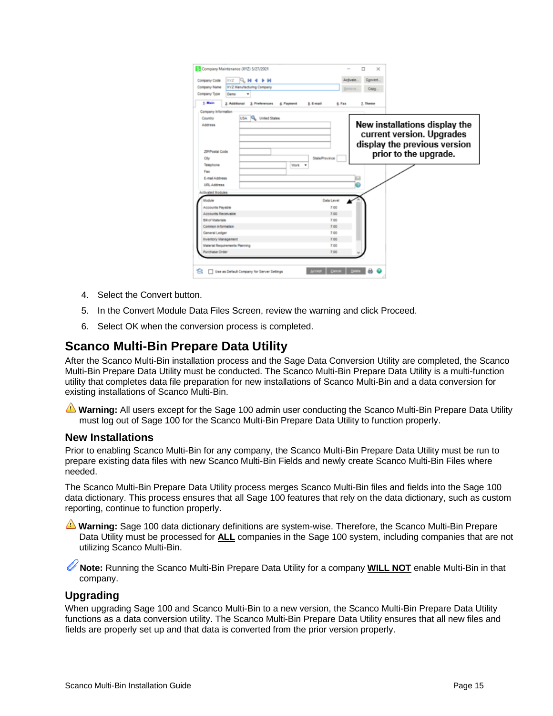|                                       | <b>XYZ</b><br><b>FLM 4 D M</b>                          | Convert.<br>Activate                                                                                                                  |
|---------------------------------------|---------------------------------------------------------|---------------------------------------------------------------------------------------------------------------------------------------|
| Company Name                          | XVZ Manufacturing Company                               | Copy.                                                                                                                                 |
| Company Type                          | Demo<br>٠                                               |                                                                                                                                       |
| 1. Main                               | 2. Additional 3. Preferences<br>4. Payment<br>5. E-mail | 6. Fax<br>7. Theme                                                                                                                    |
| Company Information                   |                                                         |                                                                                                                                       |
| Country                               | USA R. United States                                    |                                                                                                                                       |
| Address<br>ZIP/Postal Code<br>City    |                                                         | New installations display the<br>current version. Upgrades<br>display the previous version<br>prior to the upgrade.<br>State/Province |
| Telephone                             | Vitoric -                                               |                                                                                                                                       |
| Fax                                   |                                                         |                                                                                                                                       |
| E-mail Address                        |                                                         |                                                                                                                                       |
| URL Address                           |                                                         |                                                                                                                                       |
| <b>Activated Modules</b>              |                                                         |                                                                                                                                       |
| Module                                |                                                         | Data Level                                                                                                                            |
| Accounts Payable                      |                                                         | 7.00                                                                                                                                  |
| Accounts Receivable                   |                                                         | 7.00                                                                                                                                  |
| <b>Bill of Materials</b>              |                                                         | 7.00                                                                                                                                  |
| Common Information                    |                                                         | 7.00                                                                                                                                  |
| General Ledger                        |                                                         | 7.00                                                                                                                                  |
| <b>Inventory Management</b>           |                                                         | 7.00                                                                                                                                  |
|                                       |                                                         | 7.00                                                                                                                                  |
| <b>Material Requirements Planning</b> |                                                         |                                                                                                                                       |

- 4. Select the Convert button.
- 5. In the Convert Module Data Files Screen, review the warning and click Proceed.
- 6. Select OK when the conversion process is completed.

### <span id="page-14-0"></span>**Scanco Multi-Bin Prepare Data Utility**

After the Scanco Multi-Bin installation process and the Sage Data Conversion Utility are completed, the Scanco Multi-Bin Prepare Data Utility must be conducted. The Scanco Multi-Bin Prepare Data Utility is a multi-function utility that completes data file preparation for new installations of Scanco Multi-Bin and a data conversion for existing installations of Scanco Multi-Bin.

**Warning:** All users except for the Sage 100 admin user conducting the Scanco Multi-Bin Prepare Data Utility must log out of Sage 100 for the Scanco Multi-Bin Prepare Data Utility to function properly.

#### <span id="page-14-1"></span>**New Installations**

Prior to enabling Scanco Multi-Bin for any company, the Scanco Multi-Bin Prepare Data Utility must be run to prepare existing data files with new Scanco Multi-Bin Fields and newly create Scanco Multi-Bin Files where needed.

The Scanco Multi-Bin Prepare Data Utility process merges Scanco Multi-Bin files and fields into the Sage 100 data dictionary. This process ensures that all Sage 100 features that rely on the data dictionary, such as custom reporting, continue to function properly.

Warning: Sage 100 data dictionary definitions are system-wise. Therefore, the Scanco Multi-Bin Prepare Data Utility must be processed for **ALL** companies in the Sage 100 system, including companies that are not utilizing Scanco Multi-Bin.

**Note:** Running the Scanco Multi-Bin Prepare Data Utility for a company **WILL NOT** enable Multi-Bin in that company.

#### <span id="page-14-2"></span>**Upgrading**

When upgrading Sage 100 and Scanco Multi-Bin to a new version, the Scanco Multi-Bin Prepare Data Utility functions as a data conversion utility. The Scanco Multi-Bin Prepare Data Utility ensures that all new files and fields are properly set up and that data is converted from the prior version properly.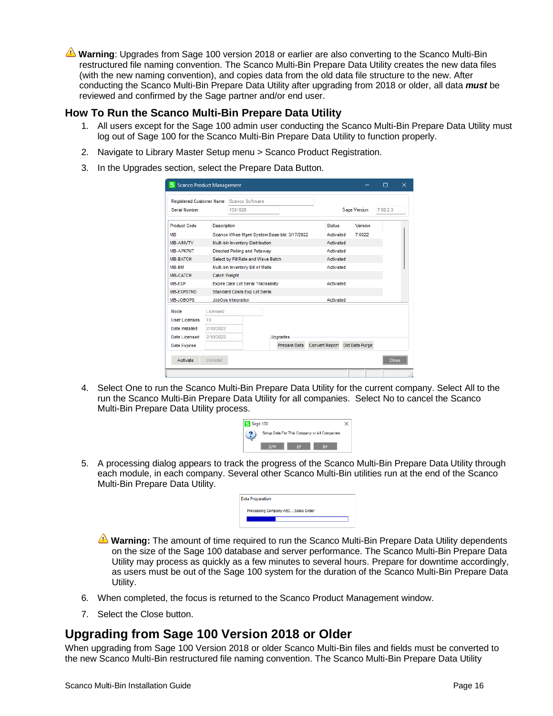**Warning**: Upgrades from Sage 100 version 2018 or earlier are also converting to the Scanco Multi-Bin restructured file naming convention. The Scanco Multi-Bin Prepare Data Utility creates the new data files (with the new naming convention), and copies data from the old data file structure to the new. After conducting the Scanco Multi-Bin Prepare Data Utility after upgrading from 2018 or older, all data *must* be reviewed and confirmed by the Sage partner and/or end user.

#### <span id="page-15-0"></span>**How To Run the Scanco Multi-Bin Prepare Data Utility**

- 1. All users except for the Sage 100 admin user conducting the Scanco Multi-Bin Prepare Data Utility must log out of Sage 100 for the Scanco Multi-Bin Prepare Data Utility to function properly.
- 2. Navigate to Library Master Setup menu > Scanco Product Registration.
- 3. In the Upgrades section, select the Prepare Data Button.

|                      |                                   | Registered Customer Name Scanco Software   |                                             |              |                       |                |          |  |
|----------------------|-----------------------------------|--------------------------------------------|---------------------------------------------|--------------|-----------------------|----------------|----------|--|
| Serial Number        |                                   | 1501928                                    |                                             |              |                       | Sage Version   | 7.00.2.0 |  |
| <b>Product Code</b>  | <b>Description</b>                |                                            |                                             |              | <b>Status</b>         | Version        |          |  |
| <b>MB</b>            |                                   |                                            | Scanco Whse Momt System Base bld: 3/17/2022 |              | Activated             | 70022          |          |  |
| <b>MB-AINVTY</b>     |                                   | Multi-bin Inventory Distribution           |                                             |              | Activated             |                |          |  |
| <b>MB-APKPUT</b>     |                                   | Directed Picking and Putaway               |                                             |              | Activated             |                |          |  |
| <b>MB-BATCH</b>      |                                   | Select by Fill Rate and Wave Batch         |                                             |              | Activated             |                |          |  |
| MB-BM                | Multi-bin Inventory Bill of Matls |                                            |                                             | Activated    |                       |                |          |  |
| <b>MB-CATCH</b>      | <b>Catch Weight</b>               |                                            |                                             |              |                       |                |          |  |
| MB-EXP               |                                   | <b>Expire Date Lot Serial Traceability</b> |                                             |              | Activated             |                |          |  |
| <b>MB-EXPSTND</b>    |                                   | Standard Costs Exp Lot Serial              |                                             |              |                       |                |          |  |
| MB-JOBOPS            |                                   | JobOps Integration                         |                                             |              | Activated             |                |          |  |
| Mode                 | Licensed                          |                                            |                                             |              |                       |                |          |  |
| <b>User Licenses</b> | 10                                |                                            |                                             |              |                       |                |          |  |
| Date Installed       | 2/10/2022                         |                                            |                                             |              |                       |                |          |  |
| Date Licensed        | 2/10/2022                         |                                            | <b>Upgrades</b>                             |              |                       |                |          |  |
|                      |                                   |                                            |                                             | Prepare Data | <b>Convert Report</b> | Old Data Purge |          |  |

4. Select One to run the Scanco Multi-Bin Prepare Data Utility for the current company. Select All to the run the Scanco Multi-Bin Prepare Data Utility for all companies. Select No to cancel the Scanco Multi-Bin Prepare Data Utility process.

| S Sage 100 |                                     |                                               |  |
|------------|-------------------------------------|-----------------------------------------------|--|
|            |                                     | Setup Data For This Company or All Companies: |  |
|            | One<br>---------------------------- |                                               |  |

5. A processing dialog appears to track the progress of the Scanco Multi-Bin Prepare Data Utility through each module, in each company. Several other Scanco Multi-Bin utilities run at the end of the Scanco Multi-Bin Prepare Data Utility.

| <b>Data Preparation</b> |  |                                     |  |  |
|-------------------------|--|-------------------------------------|--|--|
|                         |  | Processing Company ABC  Sales Order |  |  |
|                         |  |                                     |  |  |
|                         |  |                                     |  |  |

- **Warning:** The amount of time required to run the Scanco Multi-Bin Prepare Data Utility dependents on the size of the Sage 100 database and server performance. The Scanco Multi-Bin Prepare Data Utility may process as quickly as a few minutes to several hours. Prepare for downtime accordingly, as users must be out of the Sage 100 system for the duration of the Scanco Multi-Bin Prepare Data Utility.
- 6. When completed, the focus is returned to the Scanco Product Management window.
- 7. Select the Close button.

### <span id="page-15-1"></span>**Upgrading from Sage 100 Version 2018 or Older**

When upgrading from Sage 100 Version 2018 or older Scanco Multi-Bin files and fields must be converted to the new Scanco Multi-Bin restructured file naming convention. The Scanco Multi-Bin Prepare Data Utility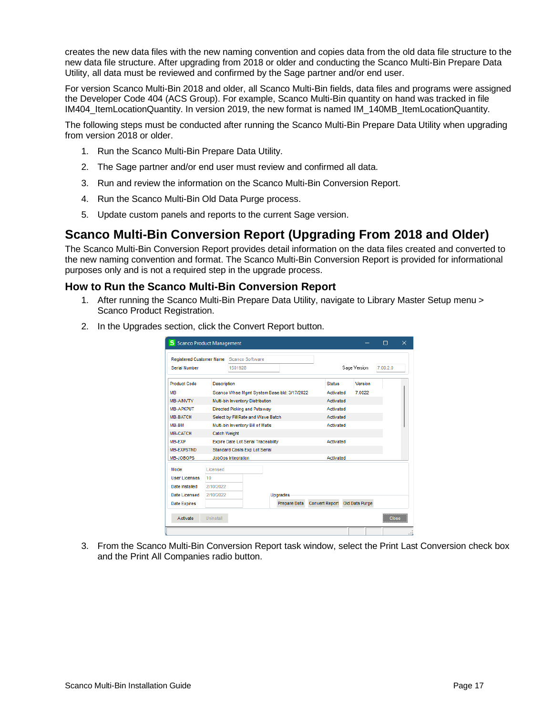creates the new data files with the new naming convention and copies data from the old data file structure to the new data file structure. After upgrading from 2018 or older and conducting the Scanco Multi-Bin Prepare Data Utility, all data must be reviewed and confirmed by the Sage partner and/or end user.

For version Scanco Multi-Bin 2018 and older, all Scanco Multi-Bin fields, data files and programs were assigned the Developer Code 404 (ACS Group). For example, Scanco Multi-Bin quantity on hand was tracked in file IM404 ItemLocationQuantity. In version 2019, the new format is named IM\_140MB\_ItemLocationQuantity.

The following steps must be conducted after running the Scanco Multi-Bin Prepare Data Utility when upgrading from version 2018 or older.

- 1. Run the Scanco Multi-Bin Prepare Data Utility.
- 2. The Sage partner and/or end user must review and confirmed all data.
- 3. Run and review the information on the Scanco Multi-Bin Conversion Report.
- 4. Run the Scanco Multi-Bin Old Data Purge process.
- 5. Update custom panels and reports to the current Sage version.

### <span id="page-16-0"></span>**Scanco Multi-Bin Conversion Report (Upgrading From 2018 and Older)**

The Scanco Multi-Bin Conversion Report provides detail information on the data files created and converted to the new naming convention and format. The Scanco Multi-Bin Conversion Report is provided for informational purposes only and is not a required step in the upgrade process.

#### <span id="page-16-1"></span>**How to Run the Scanco Multi-Bin Conversion Report**

- 1. After running the Scanco Multi-Bin Prepare Data Utility, navigate to Library Master Setup menu > Scanco Product Registration.
- 2. In the Upgrades section, click the Convert Report button.

| <b>Registered Customer Name</b>               |                                    | Scanco Software                             |  |                 |  |              |       |                               |          |  |
|-----------------------------------------------|------------------------------------|---------------------------------------------|--|-----------------|--|--------------|-------|-------------------------------|----------|--|
| Serial Number                                 |                                    | 1501928                                     |  |                 |  | Sage Version |       |                               | 7.00.2.0 |  |
| Product Code                                  | <b>Description</b>                 |                                             |  |                 |  | Status       |       | Version                       |          |  |
| MВ                                            |                                    | Scanco Whse Momt System Base bld: 3/17/2022 |  |                 |  | Activated    | 70022 |                               |          |  |
| MB-AINVTY<br>Multi-bin Inventory Distribution |                                    |                                             |  | Activated       |  |              |       |                               |          |  |
| MB-APKPUT                                     | Directed Picking and Putaway       |                                             |  |                 |  | Activated    |       |                               |          |  |
| <b>MB-BATCH</b>                               | Select by Fill Rate and Wave Batch |                                             |  |                 |  | Activated    |       |                               |          |  |
| MB-BM                                         | Multi-bin Inventory Bill of Matls  |                                             |  |                 |  | Activated    |       |                               |          |  |
| MB-CATCH                                      | <b>Catch Weight</b>                |                                             |  |                 |  |              |       |                               |          |  |
| MB-EXP                                        |                                    | <b>Expire Date Lot Serial Traceability</b>  |  |                 |  | Activated    |       |                               |          |  |
| <b>MB-EXPSTND</b>                             |                                    | <b>Standard Costs Exp Lot Serial</b>        |  |                 |  |              |       |                               |          |  |
| MB-JOBOPS                                     |                                    | JobOps Integration                          |  |                 |  | Activated    |       |                               |          |  |
| Mode                                          | Licensed                           |                                             |  |                 |  |              |       |                               |          |  |
| User Licenses                                 | 10                                 |                                             |  |                 |  |              |       |                               |          |  |
| Date Installed                                | 2/10/2022                          |                                             |  |                 |  |              |       |                               |          |  |
| Date Licensed                                 | 2/10/2022                          |                                             |  | <b>Uparades</b> |  |              |       |                               |          |  |
| <b>Date Expires</b>                           |                                    |                                             |  | Prepare Data    |  |              |       | Convert Report Old Data Purge |          |  |

3. From the Scanco Multi-Bin Conversion Report task window, select the Print Last Conversion check box and the Print All Companies radio button.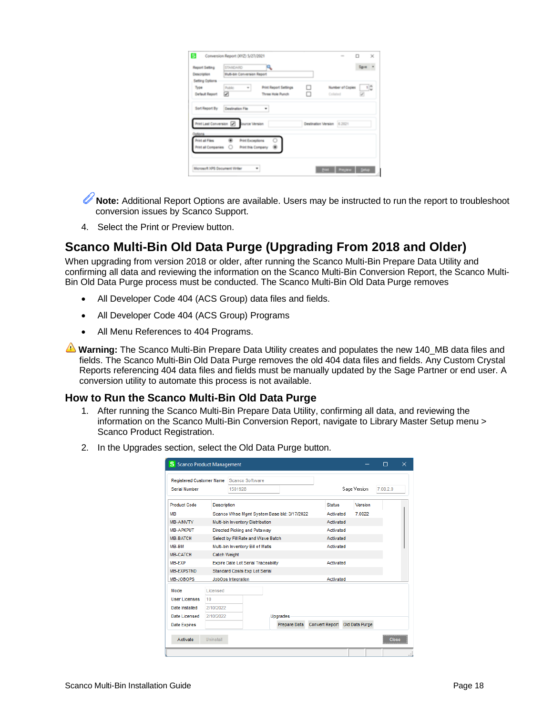| Report Setting                                    | <b>STANDARD</b>                                      | ų,                           |   |          |                  | Spre - |
|---------------------------------------------------|------------------------------------------------------|------------------------------|---|----------|------------------|--------|
| Description                                       | Multi-bin Conversion Report                          |                              |   |          |                  |        |
| Setting Options                                   |                                                      |                              |   |          |                  |        |
| Type                                              | Public                                               | <b>Print Report Settings</b> | □ |          | Number of Copies | $\Box$ |
| <b>Default Report</b>                             | ⊠                                                    | Three Hole Punch             |   | Collated |                  |        |
| Print Last Conversion [7]                         |                                                      |                              |   |          |                  |        |
|                                                   |                                                      |                              |   |          |                  |        |
|                                                   |                                                      |                              |   |          |                  |        |
| Ostions<br>Print all Files<br>Print all Companies | <b>Print Exceptions</b><br><b>Print this Company</b> |                              |   |          |                  |        |

**Note:** Additional Report Options are available. Users may be instructed to run the report to troubleshoot conversion issues by Scanco Support.

4. Select the Print or Preview button.

### <span id="page-17-0"></span>**Scanco Multi-Bin Old Data Purge (Upgrading From 2018 and Older)**

When upgrading from version 2018 or older, after running the Scanco Multi-Bin Prepare Data Utility and confirming all data and reviewing the information on the Scanco Multi-Bin Conversion Report, the Scanco Multi-Bin Old Data Purge process must be conducted. The Scanco Multi-Bin Old Data Purge removes

- All Developer Code 404 (ACS Group) data files and fields.
- All Developer Code 404 (ACS Group) Programs
- All Menu References to 404 Programs.

**Warning:** The Scanco Multi-Bin Prepare Data Utility creates and populates the new 140 MB data files and fields. The Scanco Multi-Bin Old Data Purge removes the old 404 data files and fields. Any Custom Crystal Reports referencing 404 data files and fields must be manually updated by the Sage Partner or end user. A conversion utility to automate this process is not available.

#### <span id="page-17-1"></span>**How to Run the Scanco Multi-Bin Old Data Purge**

- 1. After running the Scanco Multi-Bin Prepare Data Utility, confirming all data, and reviewing the information on the Scanco Multi-Bin Conversion Report, navigate to Library Master Setup menu > Scanco Product Registration.
- 2. In the Upgrades section, select the Old Data Purge button.

| Registered Customer Name Scanco Software |                                             |                                            |  |                 |                       |              |                |  |  |
|------------------------------------------|---------------------------------------------|--------------------------------------------|--|-----------------|-----------------------|--------------|----------------|--|--|
| <b>Serial Number</b>                     |                                             | 1501928                                    |  |                 |                       | Sage Version |                |  |  |
| <b>Product Code</b>                      | <b>Description</b>                          |                                            |  |                 | <b>Status</b>         |              | Version        |  |  |
| MВ                                       | Scanco Whse Mgmt System Base bld: 3/17/2022 |                                            |  | Activated       |                       | 7.0022       |                |  |  |
| <b>MB-AINVTY</b>                         | Multi-bin Inventory Distribution            |                                            |  |                 | Activated             |              |                |  |  |
| <b>MB-APKPUT</b>                         | <b>Directed Picking and Putaway</b>         |                                            |  |                 | Activated             |              |                |  |  |
| <b>MB-BATCH</b>                          | Select by Fill Rate and Wave Batch          |                                            |  |                 | Activated             |              |                |  |  |
| MB-BM                                    | Multi-bin Inventory Bill of Matls           |                                            |  |                 | Activated             |              |                |  |  |
| <b>MB-CATCH</b>                          | <b>Catch Weight</b>                         |                                            |  |                 |                       |              |                |  |  |
| MB-EXP                                   |                                             | <b>Expire Date Lot Serial Traceability</b> |  |                 | Activated             |              |                |  |  |
| <b>MB-EXPSTND</b>                        |                                             | <b>Standard Costs Exp Lot Serial</b>       |  |                 |                       |              |                |  |  |
| MB-JOBOPS                                |                                             | JobOps Integration                         |  |                 | Activated             |              |                |  |  |
| Mode                                     | Licensed                                    |                                            |  |                 |                       |              |                |  |  |
| <b>User Licenses</b>                     | 10                                          |                                            |  |                 |                       |              |                |  |  |
| Date Installed                           | 2/10/2022                                   |                                            |  |                 |                       |              |                |  |  |
| <b>Date Licensed</b>                     | 2/10/2022                                   |                                            |  | <b>Upgrades</b> |                       |              |                |  |  |
| <b>Date Expires</b>                      |                                             |                                            |  | Prepare Data    | <b>Convert Report</b> |              | Old Data Purge |  |  |